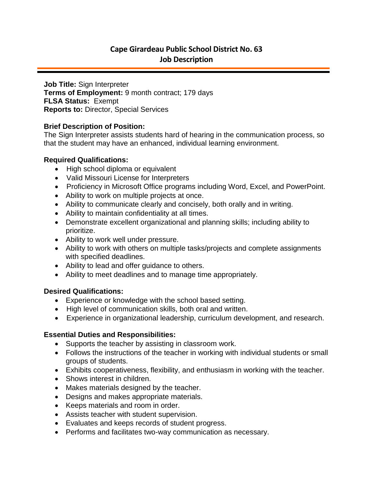# **Cape Girardeau Public School District No. 63 Job Description**

**Job Title:** Sign Interpreter **Terms of Employment:** 9 month contract; 179 days **FLSA Status:** Exempt **Reports to:** Director, Special Services

# **Brief Description of Position:**

The Sign Interpreter assists students hard of hearing in the communication process, so that the student may have an enhanced, individual learning environment.

# **Required Qualifications:**

- High school diploma or equivalent
- Valid Missouri License for Interpreters
- Proficiency in Microsoft Office programs including Word, Excel, and PowerPoint.
- Ability to work on multiple projects at once.
- Ability to communicate clearly and concisely, both orally and in writing.
- Ability to maintain confidentiality at all times.
- Demonstrate excellent organizational and planning skills; including ability to prioritize.
- Ability to work well under pressure.
- Ability to work with others on multiple tasks/projects and complete assignments with specified deadlines.
- Ability to lead and offer guidance to others.
- Ability to meet deadlines and to manage time appropriately.

#### **Desired Qualifications:**

- Experience or knowledge with the school based setting.
- High level of communication skills, both oral and written.
- Experience in organizational leadership, curriculum development, and research.

# **Essential Duties and Responsibilities:**

- Supports the teacher by assisting in classroom work.
- Follows the instructions of the teacher in working with individual students or small groups of students.
- Exhibits cooperativeness, flexibility, and enthusiasm in working with the teacher.
- Shows interest in children.
- Makes materials designed by the teacher.
- Designs and makes appropriate materials.
- Keeps materials and room in order.
- Assists teacher with student supervision.
- Evaluates and keeps records of student progress.
- Performs and facilitates two-way communication as necessary.